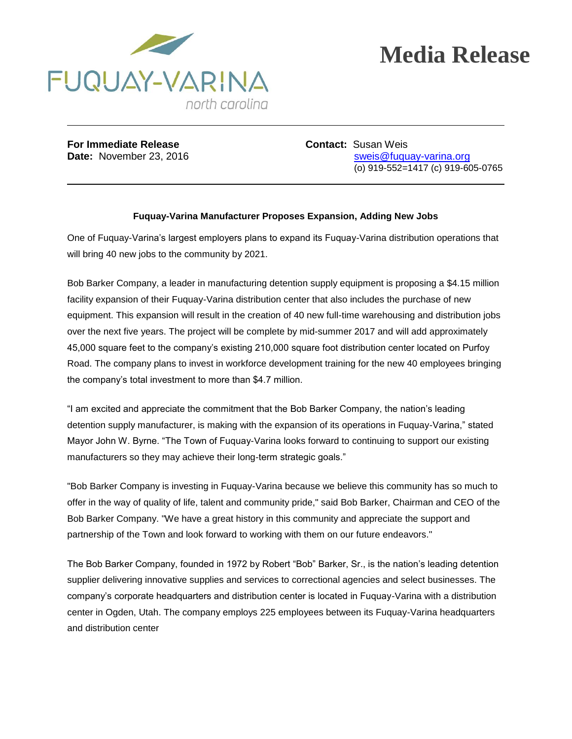

## **Media Release**

**For Immediate Release <b>Contact:** Susan Weis

**Date:** November 23, 2016 **State:** November 23, 2016 (o) 919-552=1417 (c) 919-605-0765

## **Fuquay-Varina Manufacturer Proposes Expansion, Adding New Jobs**

One of Fuquay-Varina's largest employers plans to expand its Fuquay-Varina distribution operations that will bring 40 new jobs to the community by 2021.

Bob Barker Company, a leader in manufacturing detention supply equipment is proposing a \$4.15 million facility expansion of their Fuquay-Varina distribution center that also includes the purchase of new equipment. This expansion will result in the creation of 40 new full-time warehousing and distribution jobs over the next five years. The project will be complete by mid-summer 2017 and will add approximately 45,000 square feet to the company's existing 210,000 square foot distribution center located on Purfoy Road. The company plans to invest in workforce development training for the new 40 employees bringing the company's total investment to more than \$4.7 million.

"I am excited and appreciate the commitment that the Bob Barker Company, the nation's leading detention supply manufacturer, is making with the expansion of its operations in Fuquay-Varina," stated Mayor John W. Byrne. "The Town of Fuquay-Varina looks forward to continuing to support our existing manufacturers so they may achieve their long-term strategic goals."

"Bob Barker Company is investing in Fuquay-Varina because we believe this community has so much to offer in the way of quality of life, talent and community pride," said Bob Barker, Chairman and CEO of the Bob Barker Company. "We have a great history in this community and appreciate the support and partnership of the Town and look forward to working with them on our future endeavors."

The Bob Barker Company, founded in 1972 by Robert "Bob" Barker, Sr., is the nation's leading detention supplier delivering innovative supplies and services to correctional agencies and select businesses. The company's corporate headquarters and distribution center is located in Fuquay-Varina with a distribution center in Ogden, Utah. The company employs 225 employees between its Fuquay-Varina headquarters and distribution center